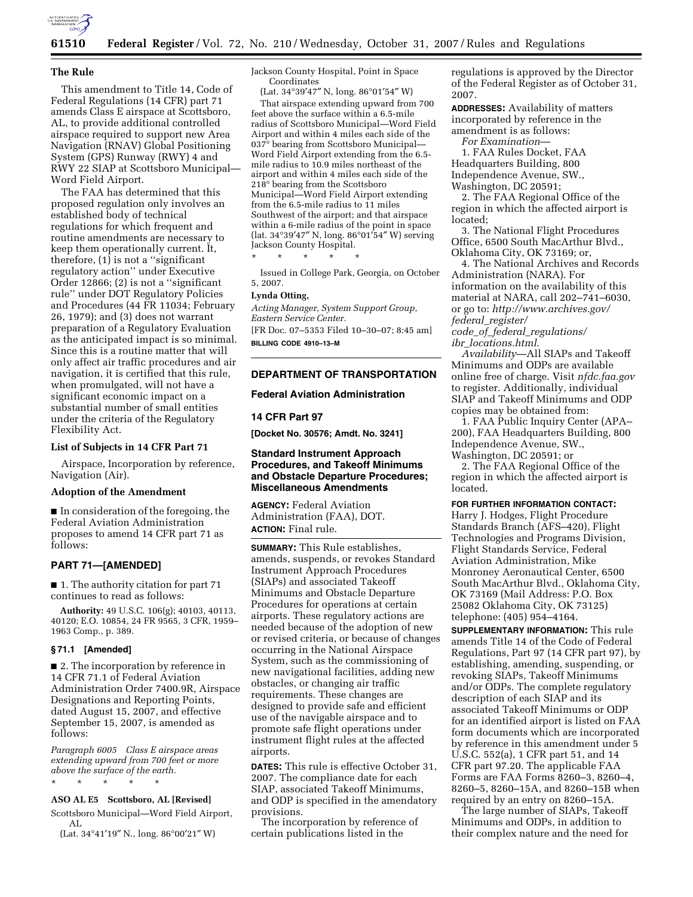

# **61510 Federal Register** / Vol. 72, No. 210 / Wednesday, October 31, 2007 / Rules and Regulations

#### **The Rule**

This amendment to Title 14, Code of Federal Regulations (14 CFR) part 71 amends Class E airspace at Scottsboro, AL, to provide additional controlled airspace required to support new Area Navigation (RNAV) Global Positioning System (GPS) Runway (RWY) 4 and RWY 22 SIAP at Scottsboro Municipal— Word Field Airport.

The FAA has determined that this proposed regulation only involves an established body of technical regulations for which frequent and routine amendments are necessary to keep them operationally current. It, therefore,  $(1)$  is not a "significant" regulatory action'' under Executive Order 12866; (2) is not a ''significant rule'' under DOT Regulatory Policies and Procedures (44 FR 11034; February 26, 1979); and (3) does not warrant preparation of a Regulatory Evaluation as the anticipated impact is so minimal. Since this is a routine matter that will only affect air traffic procedures and air navigation, it is certified that this rule, when promulgated, will not have a significant economic impact on a substantial number of small entities under the criteria of the Regulatory Flexibility Act.

## **List of Subjects in 14 CFR Part 71**

Airspace, Incorporation by reference, Navigation (Air).

### **Adoption of the Amendment**

■ In consideration of the foregoing, the Federal Aviation Administration proposes to amend 14 CFR part 71 as follows:

## **PART 71—[AMENDED]**

■ 1. The authority citation for part 71 continues to read as follows:

**Authority:** 49 U.S.C. 106(g); 40103, 40113, 40120; E.O. 10854, 24 FR 9565, 3 CFR, 1959– 1963 Comp., p. 389.

#### **§ 71.1 [Amended]**

■ 2. The incorporation by reference in 14 CFR 71.1 of Federal Aviation Administration Order 7400.9R, Airspace Designations and Reporting Points, dated August 15, 2007, and effective September 15, 2007, is amended as follows:

*Paragraph 6005 Class E airspace areas extending upward from 700 feet or more above the surface of the earth.* 

\* \* \* \* \*

#### **ASO AL E5 Scottsboro, AL [Revised]**

Scottsboro Municipal—Word Field Airport, AL

(Lat. 34°41′19″ N., long. 86°00′21″ W)

Jackson County Hospital, Point in Space Coordinates

(Lat. 34°39′47″ N, long. 86°01′54″ W)

That airspace extending upward from 700 feet above the surface within a 6.5-mile radius of Scottsboro Municipal—Word Field Airport and within 4 miles each side of the 037° bearing from Scottsboro Municipal— Word Field Airport extending from the 6.5 mile radius to 10.9 miles northeast of the airport and within 4 miles each side of the  $218^{\circ}$  bearing from the Scottsboro Municipal—Word Field Airport extending from the 6.5-mile radius to 11 miles Southwest of the airport; and that airspace within a 6-mile radius of the point in space (lat. 34°39′47″ N, long. 86°01′54″ W) serving Jackson County Hospital.

\* \* \* \* \*

Issued in College Park, Georgia, on October 5, 2007.

#### **Lynda Otting,**

*Acting Manager, System Support Group, Eastern Service Center.*  [FR Doc. 07–5353 Filed 10–30–07; 8:45 am]

**BILLING CODE 4910–13–M** 

# **DEPARTMENT OF TRANSPORTATION**

### **Federal Aviation Administration**

# **14 CFR Part 97**

**[Docket No. 30576; Amdt. No. 3241]** 

# **Standard Instrument Approach Procedures, and Takeoff Minimums and Obstacle Departure Procedures; Miscellaneous Amendments**

**AGENCY:** Federal Aviation Administration (FAA), DOT. **ACTION:** Final rule.

**SUMMARY:** This Rule establishes, amends, suspends, or revokes Standard Instrument Approach Procedures (SIAPs) and associated Takeoff Minimums and Obstacle Departure Procedures for operations at certain airports. These regulatory actions are needed because of the adoption of new or revised criteria, or because of changes occurring in the National Airspace System, such as the commissioning of new navigational facilities, adding new obstacles, or changing air traffic requirements. These changes are designed to provide safe and efficient use of the navigable airspace and to promote safe flight operations under instrument flight rules at the affected airports.

**DATES:** This rule is effective October 31, 2007. The compliance date for each SIAP, associated Takeoff Minimums, and ODP is specified in the amendatory provisions.

The incorporation by reference of certain publications listed in the

regulations is approved by the Director of the Federal Register as of October 31, 2007.

**ADDRESSES:** Availability of matters incorporated by reference in the amendment is as follows:

*For Examination*—

1. FAA Rules Docket, FAA Headquarters Building, 800 Independence Avenue, SW., Washington, DC 20591;

2. The FAA Regional Office of the region in which the affected airport is located;

3. The National Flight Procedures Office, 6500 South MacArthur Blvd., Oklahoma City, OK 73169; or,

4. The National Archives and Records Administration (NARA). For information on the availability of this material at NARA, call 202–741–6030, or go to: *http://www.archives.gov/ federal*\_*register/* 

*code*\_*of*\_*federal*\_*regulations/ ibr*\_*locations.html*.

*Availability*—All SIAPs and Takeoff Minimums and ODPs are available online free of charge. Visit *nfdc.faa.gov*  to register. Additionally, individual SIAP and Takeoff Minimums and ODP copies may be obtained from:

1. FAA Public Inquiry Center (APA– 200), FAA Headquarters Building, 800 Independence Avenue, SW., Washington, DC 20591; or

2. The FAA Regional Office of the region in which the affected airport is located.

**FOR FURTHER INFORMATION CONTACT:** 

Harry J. Hodges, Flight Procedure Standards Branch (AFS–420), Flight Technologies and Programs Division, Flight Standards Service, Federal Aviation Administration, Mike Monroney Aeronautical Center, 6500 South MacArthur Blvd., Oklahoma City, OK 73169 (Mail Address: P.O. Box 25082 Oklahoma City, OK 73125) telephone: (405) 954–4164.

**SUPPLEMENTARY INFORMATION:** This rule amends Title 14 of the Code of Federal Regulations, Part 97 (14 CFR part 97), by establishing, amending, suspending, or revoking SIAPs, Takeoff Minimums and/or ODPs. The complete regulatory description of each SIAP and its associated Takeoff Minimums or ODP for an identified airport is listed on FAA form documents which are incorporated by reference in this amendment under 5 U.S.C. 552(a), 1 CFR part 51, and 14 CFR part 97.20. The applicable FAA Forms are FAA Forms 8260–3, 8260–4, 8260–5, 8260–15A, and 8260–15B when required by an entry on 8260–15A.

The large number of SIAPs, Takeoff Minimums and ODPs, in addition to their complex nature and the need for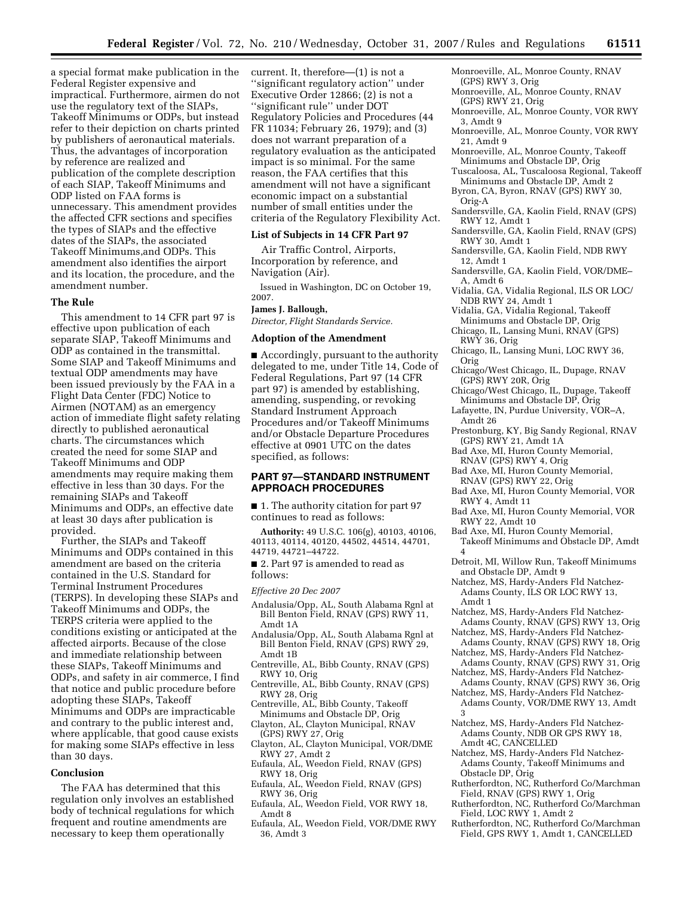a special format make publication in the Federal Register expensive and impractical. Furthermore, airmen do not use the regulatory text of the SIAPs, Takeoff Minimums or ODPs, but instead refer to their depiction on charts printed by publishers of aeronautical materials. Thus, the advantages of incorporation by reference are realized and publication of the complete description of each SIAP, Takeoff Minimums and ODP listed on FAA forms is unnecessary. This amendment provides the affected CFR sections and specifies the types of SIAPs and the effective dates of the SIAPs, the associated Takeoff Minimums,and ODPs. This amendment also identifies the airport and its location, the procedure, and the amendment number.

### **The Rule**

This amendment to 14 CFR part 97 is effective upon publication of each separate SIAP, Takeoff Minimums and ODP as contained in the transmittal. Some SIAP and Takeoff Minimums and textual ODP amendments may have been issued previously by the FAA in a Flight Data Center (FDC) Notice to Airmen (NOTAM) as an emergency action of immediate flight safety relating directly to published aeronautical charts. The circumstances which created the need for some SIAP and Takeoff Minimums and ODP amendments may require making them effective in less than 30 days. For the remaining SIAPs and Takeoff Minimums and ODPs, an effective date at least 30 days after publication is provided.

Further, the SIAPs and Takeoff Minimums and ODPs contained in this amendment are based on the criteria contained in the U.S. Standard for Terminal Instrument Procedures (TERPS). In developing these SIAPs and Takeoff Minimums and ODPs, the TERPS criteria were applied to the conditions existing or anticipated at the affected airports. Because of the close and immediate relationship between these SIAPs, Takeoff Minimums and ODPs, and safety in air commerce, I find that notice and public procedure before adopting these SIAPs, Takeoff Minimums and ODPs are impracticable and contrary to the public interest and, where applicable, that good cause exists for making some SIAPs effective in less than 30 days.

# **Conclusion**

The FAA has determined that this regulation only involves an established body of technical regulations for which frequent and routine amendments are necessary to keep them operationally

current. It, therefore—(1) is not a 'significant regulatory action'' under Executive Order 12866; (2) is not a ''significant rule'' under DOT Regulatory Policies and Procedures (44 FR 11034; February 26, 1979); and (3) does not warrant preparation of a regulatory evaluation as the anticipated impact is so minimal. For the same reason, the FAA certifies that this amendment will not have a significant economic impact on a substantial number of small entities under the criteria of the Regulatory Flexibility Act.

## **List of Subjects in 14 CFR Part 97**

Air Traffic Control, Airports, Incorporation by reference, and Navigation (Air).

Issued in Washington, DC on October 19, 2007.

### **James J. Ballough,**

*Director, Flight Standards Service.* 

### **Adoption of the Amendment**

■ Accordingly, pursuant to the authority delegated to me, under Title 14, Code of Federal Regulations, Part 97 (14 CFR part 97) is amended by establishing, amending, suspending, or revoking Standard Instrument Approach Procedures and/or Takeoff Minimums and/or Obstacle Departure Procedures effective at 0901 UTC on the dates specified, as follows:

## **PART 97—STANDARD INSTRUMENT APPROACH PROCEDURES**

■ 1. The authority citation for part 97 continues to read as follows:

**Authority:** 49 U.S.C. 106(g), 40103, 40106, 40113, 40114, 40120, 44502, 44514, 44701, 44719, 44721–44722.

■ 2. Part 97 is amended to read as follows:

*Effective 20 Dec 2007* 

- Andalusia/Opp, AL, South Alabama Rgnl at Bill Benton Field, RNAV (GPS) RWY 11, Amdt 1A
- Andalusia/Opp, AL, South Alabama Rgnl at Bill Benton Field, RNAV (GPS) RWY 29, Amdt 1B
- Centreville, AL, Bibb County, RNAV (GPS) RWY 10, Orig
- Centreville, AL, Bibb County, RNAV (GPS) RWY 28, Orig
- Centreville, AL, Bibb County, Takeoff Minimums and Obstacle DP, Orig
- Clayton, AL, Clayton Municipal, RNAV (GPS) RWY 27, Orig
- Clayton, AL, Clayton Municipal, VOR/DME RWY 27, Amdt 2
- Eufaula, AL, Weedon Field, RNAV (GPS) RWY 18, Orig
- Eufaula, AL, Weedon Field, RNAV (GPS) RWY 36, Orig
- Eufaula, AL, Weedon Field, VOR RWY 18, Amdt 8
- Eufaula, AL, Weedon Field, VOR/DME RWY 36, Amdt 3
- Monroeville, AL, Monroe County, RNAV (GPS) RWY 3, Orig
- Monroeville, AL, Monroe County, RNAV (GPS) RWY 21, Orig
- Monroeville, AL, Monroe County, VOR RWY 3, Amdt 9
- Monroeville, AL, Monroe County, VOR RWY 21, Amdt 9
- Monroeville, AL, Monroe County, Takeoff Minimums and Obstacle DP, Orig
- Tuscaloosa, AL, Tuscaloosa Regional, Takeoff Minimums and Obstacle DP, Amdt 2
- Byron, CA, Byron, RNAV (GPS) RWY 30, Orig-A
- Sandersville, GA, Kaolin Field, RNAV (GPS) RWY 12, Amdt 1
- Sandersville, GA, Kaolin Field, RNAV (GPS) RWY 30, Amdt 1
- Sandersville, GA, Kaolin Field, NDB RWY 12, Amdt 1
- Sandersville, GA, Kaolin Field, VOR/DME– A, Amdt 6
- Vidalia, GA, Vidalia Regional, ILS OR LOC/ NDB RWY 24, Amdt 1
- Vidalia, GA, Vidalia Regional, Takeoff Minimums and Obstacle DP, Orig
- Chicago, IL, Lansing Muni, RNAV (GPS) RWY 36, Orig
- Chicago, IL, Lansing Muni, LOC RWY 36, Orig
- Chicago/West Chicago, IL, Dupage, RNAV (GPS) RWY 20R, Orig
- Chicago/West Chicago, IL, Dupage, Takeoff Minimums and Obstacle DP, Orig
- Lafayette, IN, Purdue University, VOR–A, Amdt 26
- Prestonburg, KY, Big Sandy Regional, RNAV (GPS) RWY 21, Amdt 1A
- Bad Axe, MI, Huron County Memorial, RNAV (GPS) RWY 4, Orig
- Bad Axe, MI, Huron County Memorial, RNAV (GPS) RWY 22, Orig
- Bad Axe, MI, Huron County Memorial, VOR RWY 4, Amdt 11
- Bad Axe, MI, Huron County Memorial, VOR RWY 22, Amdt 10
- Bad Axe, MI, Huron County Memorial, Takeoff Minimums and Obstacle DP, Amdt 4
- Detroit, MI, Willow Run, Takeoff Minimums and Obstacle DP, Amdt 9
- Natchez, MS, Hardy-Anders Fld Natchez-Adams County, ILS OR LOC RWY 13, Amdt 1
- Natchez, MS, Hardy-Anders Fld Natchez-Adams County, RNAV (GPS) RWY 13, Orig
- Natchez, MS, Hardy-Anders Fld Natchez-Adams County, RNAV (GPS) RWY 18, Orig
- Natchez, MS, Hardy-Anders Fld Natchez-Adams County, RNAV (GPS) RWY 31, Orig
- Natchez, MS, Hardy-Anders Fld Natchez-Adams County, RNAV (GPS) RWY 36, Orig
- Natchez, MS, Hardy-Anders Fld Natchez-Adams County, VOR/DME RWY 13, Amdt 3
- Natchez, MS, Hardy-Anders Fld Natchez-Adams County, NDB OR GPS RWY 18, Amdt 4C, CANCELLED
- Natchez, MS, Hardy-Anders Fld Natchez-Adams County, Takeoff Minimums and Obstacle DP, Orig
- Rutherfordton, NC, Rutherford Co/Marchman Field, RNAV (GPS) RWY 1, Orig
- Rutherfordton, NC, Rutherford Co/Marchman Field, LOC RWY 1, Amdt 2
- Rutherfordton, NC, Rutherford Co/Marchman Field, GPS RWY 1, Amdt 1, CANCELLED